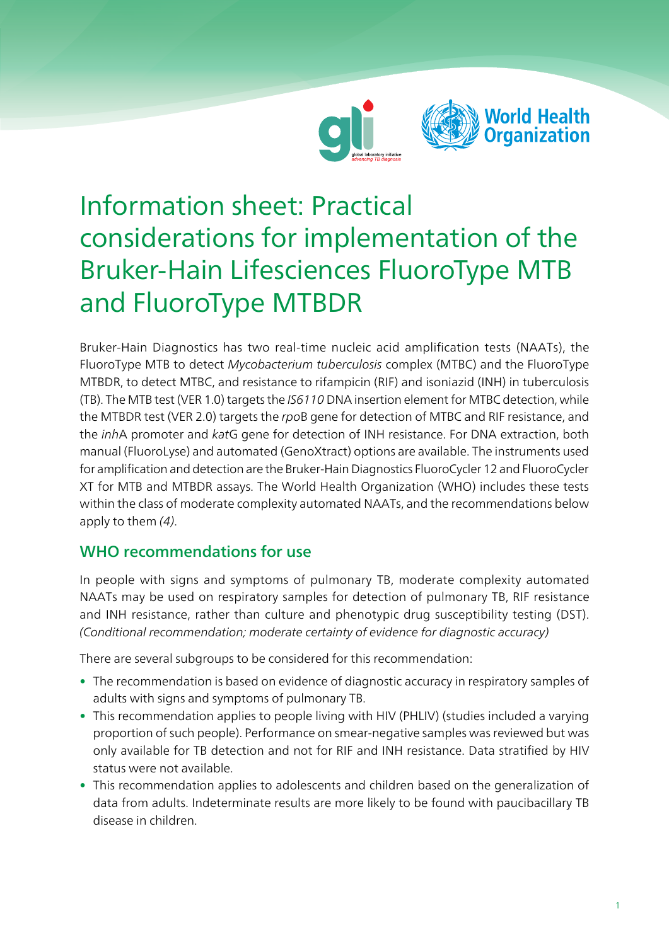



# Information sheet: Practical considerations for implementation of the Bruker-Hain Lifesciences FluoroType MTB and FluoroType MTBDR

Bruker-Hain Diagnostics has two real-time nucleic acid amplification tests (NAATs), the FluoroType MTB to detect Mycobacterium tuberculosis complex (MTBC) and the FluoroType MTBDR, to detect MTBC, and resistance to rifampicin (RIF) and isoniazid (INH) in tuberculosis (TB). The MTB test (VER 1.0) targets the IS6110 DNA insertion element for MTBC detection, while the MTBDR test (VER 2.0) targets the rpoB gene for detection of MTBC and RIF resistance, and the inhA promoter and katG gene for detection of INH resistance. For DNA extraction, both manual (FluoroLyse) and automated (GenoXtract) options are available. The instruments used for amplification and detection are the Bruker-Hain Diagnostics FluoroCycler 12 and FluoroCycler XT for MTB and MTBDR assays. The World Health Organization (WHO) includes these tests within the class of moderate complexity automated NAATs, and the recommendations below apply to them (4).

## WHO recommendations for use

In people with signs and symptoms of pulmonary TB, moderate complexity automated NAATs may be used on respiratory samples for detection of pulmonary TB, RIF resistance and INH resistance, rather than culture and phenotypic drug susceptibility testing (DST). (Conditional recommendation; moderate certainty of evidence for diagnostic accuracy)

There are several subgroups to be considered for this recommendation:

- The recommendation is based on evidence of diagnostic accuracy in respiratory samples of adults with signs and symptoms of pulmonary TB.
- This recommendation applies to people living with HIV (PHLIV) (studies included a varying proportion of such people). Performance on smear-negative samples was reviewed but was only available for TB detection and not for RIF and INH resistance. Data stratified by HIV status were not available.
- This recommendation applies to adolescents and children based on the generalization of data from adults. Indeterminate results are more likely to be found with paucibacillary TB disease in children.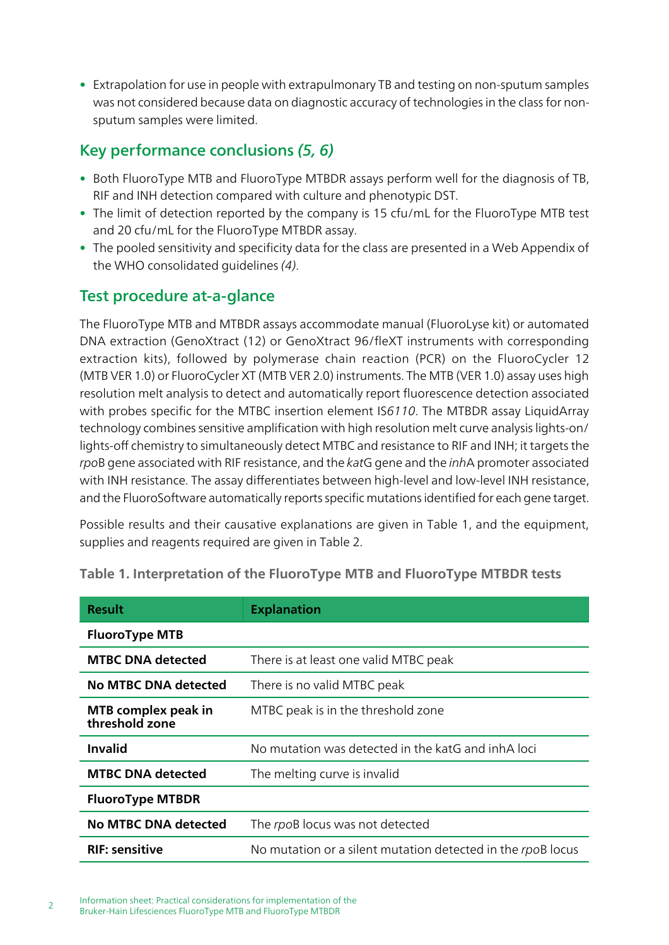• Extrapolation for use in people with extrapulmonary TB and testing on non-sputum samples was not considered because data on diagnostic accuracy of technologies in the class for nonsputum samples were limited.

## Key performance conclusions (5, 6)

- Both FluoroType MTB and FluoroType MTBDR assays perform well for the diagnosis of TB, RIF and INH detection compared with culture and phenotypic DST.
- The limit of detection reported by the company is 15 cfu/mL for the FluoroType MTB test and 20 cfu/mL for the FluoroType MTBDR assay.
- The pooled sensitivity and specificity data for the class are presented in a Web Appendix of the WHO consolidated guidelines (4).

## Test procedure at-a-glance

The FluoroType MTB and MTBDR assays accommodate manual (FluoroLyse kit) or automated DNA extraction (GenoXtract (12) or GenoXtract 96/fleXT instruments with corresponding extraction kits), followed by polymerase chain reaction (PCR) on the FluoroCycler 12 (MTB VER 1.0) or FluoroCycler XT (MTB VER 2.0) instruments. The MTB (VER 1.0) assay uses high resolution melt analysis to detect and automatically report fluorescence detection associated with probes specific for the MTBC insertion element IS6110. The MTBDR assay LiquidArray technology combines sensitive amplification with high resolution melt curve analysis lights-on/ lights-off chemistry to simultaneously detect MTBC and resistance to RIF and INH; it targets the rpoB gene associated with RIF resistance, and the katG gene and the *inhA* promoter associated with INH resistance. The assay differentiates between high-level and low-level INH resistance, and the FluoroSoftware automatically reports specific mutations identified for each gene target.

Possible results and their causative explanations are given in Table 1, and the equipment, supplies and reagents required are given in Table 2.

| <b>Result</b>                         | <b>Explanation</b>                                          |  |
|---------------------------------------|-------------------------------------------------------------|--|
| <b>FluoroType MTB</b>                 |                                                             |  |
| <b>MTBC DNA detected</b>              | There is at least one valid MTBC peak                       |  |
| <b>No MTBC DNA detected</b>           | There is no valid MTBC peak                                 |  |
| MTB complex peak in<br>threshold zone | MTBC peak is in the threshold zone                          |  |
| <b>Invalid</b>                        | No mutation was detected in the katG and inhA loci          |  |
| <b>MTBC DNA detected</b>              | The melting curve is invalid                                |  |
| <b>FluoroType MTBDR</b>               |                                                             |  |
| <b>No MTBC DNA detected</b>           | The rpoB locus was not detected                             |  |
| <b>RIF: sensitive</b>                 | No mutation or a silent mutation detected in the rpoB locus |  |

#### Table 1. Interpretation of the FluoroType MTB and FluoroType MTBDR tests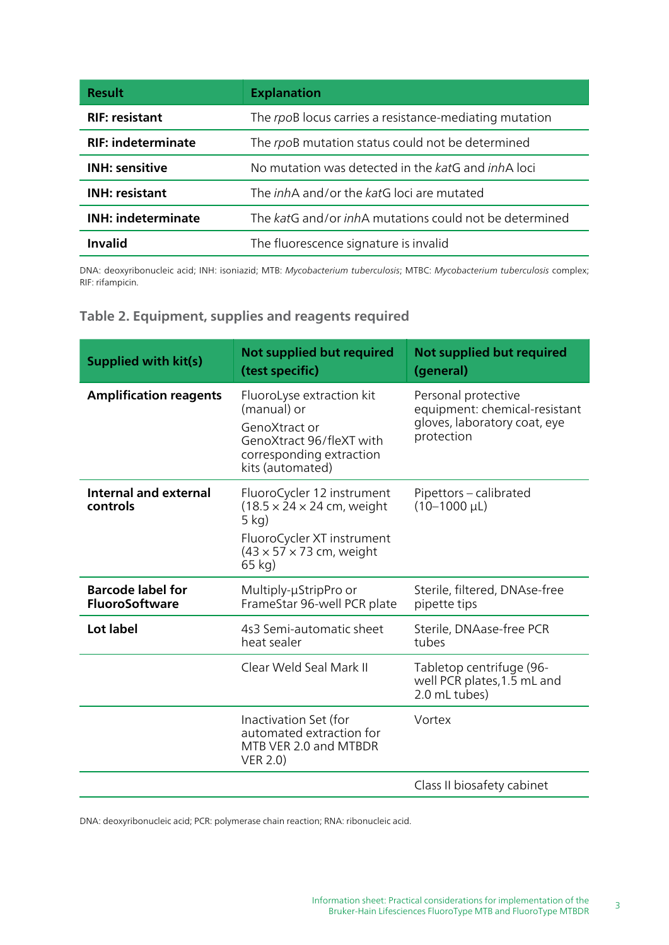| <b>Result</b>             | <b>Explanation</b>                                            |  |
|---------------------------|---------------------------------------------------------------|--|
| <b>RIF: resistant</b>     | The rpoB locus carries a resistance-mediating mutation        |  |
| <b>RIF: indeterminate</b> | The rpoB mutation status could not be determined              |  |
| <b>INH: sensitive</b>     | No mutation was detected in the katG and <i>inhA</i> loci     |  |
| <b>INH: resistant</b>     | The <i>inh</i> A and/or the katG loci are mutated             |  |
| <b>INH: indeterminate</b> | The katG and/or <i>inhA</i> mutations could not be determined |  |
| <b>Invalid</b>            | The fluorescence signature is invalid                         |  |

DNA: deoxyribonucleic acid; INH: isoniazid; MTB: Mycobacterium tuberculosis; MTBC: Mycobacterium tuberculosis complex; RIF: rifampicin.

| Supplied with kit(s)                              | <b>Not supplied but required</b><br>(test specific)                                                                                                                              | <b>Not supplied but required</b><br>(general)                                                      |
|---------------------------------------------------|----------------------------------------------------------------------------------------------------------------------------------------------------------------------------------|----------------------------------------------------------------------------------------------------|
| <b>Amplification reagents</b>                     | FluoroLyse extraction kit<br>(manual) or<br>GenoXtract or<br>GenoXtract 96/fleXT with<br>corresponding extraction<br>kits (automated)                                            | Personal protective<br>equipment: chemical-resistant<br>gloves, laboratory coat, eye<br>protection |
| Internal and external<br>controls                 | FluoroCycler 12 instrument<br>$(18.5 \times 24 \times 24 \text{ cm}, \text{ weight})$<br>$5$ kg)<br>FluoroCycler XT instrument<br>$(43 \times 57 \times 73$ cm, weight<br>65 kg) | Pipettors - calibrated<br>$(10-1000 \mu L)$                                                        |
| <b>Barcode label for</b><br><b>FluoroSoftware</b> | Multiply-µStripPro or<br>FrameStar 96-well PCR plate                                                                                                                             | Sterile, filtered, DNAse-free<br>pipette tips                                                      |
| Lot label                                         | 4s3 Semi-automatic sheet<br>heat sealer                                                                                                                                          | Sterile, DNAase-free PCR<br>tubes                                                                  |
|                                                   | Clear Weld Seal Mark II                                                                                                                                                          | Tabletop centrifuge (96-<br>well PCR plates, 1.5 mL and<br>2.0 mL tubes)                           |
|                                                   | Inactivation Set (for<br>automated extraction for<br>MTB VER 2.0 and MTBDR<br><b>VER 2.0)</b>                                                                                    | Vortex                                                                                             |
|                                                   |                                                                                                                                                                                  | Class II biosafety cabinet                                                                         |

DNA: deoxyribonucleic acid; PCR: polymerase chain reaction; RNA: ribonucleic acid.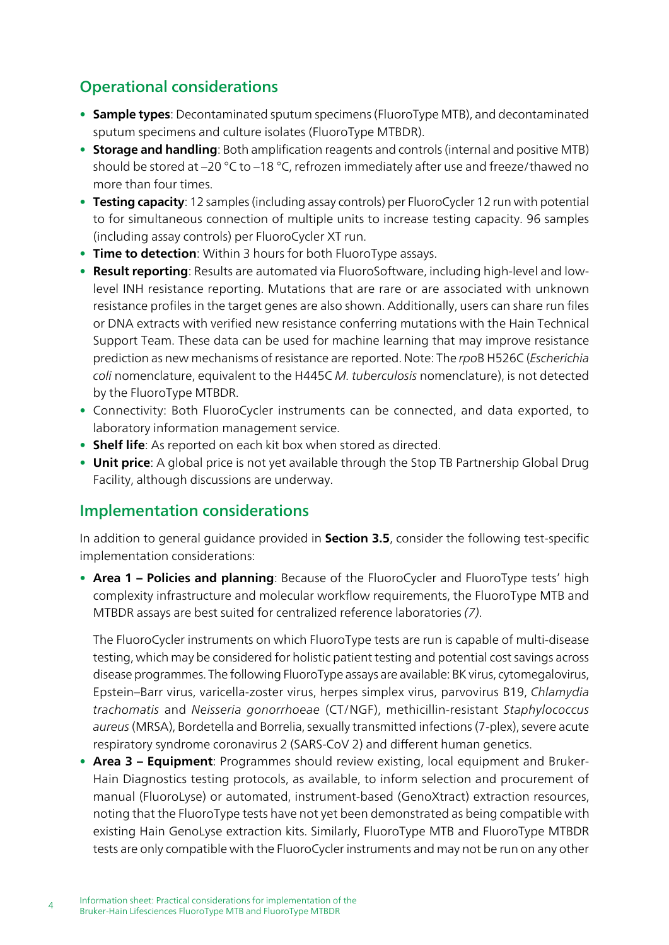## Operational considerations

- Sample types: Decontaminated sputum specimens (FluoroType MTB), and decontaminated sputum specimens and culture isolates (FluoroType MTBDR).
- Storage and handling: Both amplification reagents and controls (internal and positive MTB) should be stored at –20 °C to –18 °C, refrozen immediately after use and freeze/thawed no more than four times.
- Testing capacity: 12 samples (including assay controls) per FluoroCycler 12 run with potential to for simultaneous connection of multiple units to increase testing capacity. 96 samples (including assay controls) per FluoroCycler XT run.
- Time to detection: Within 3 hours for both FluoroType assays.
- Result reporting: Results are automated via FluoroSoftware, including high-level and lowlevel INH resistance reporting. Mutations that are rare or are associated with unknown resistance profiles in the target genes are also shown. Additionally, users can share run files or DNA extracts with verified new resistance conferring mutations with the Hain Technical Support Team. These data can be used for machine learning that may improve resistance prediction as new mechanisms of resistance are reported. Note: The rpoB H526C (Escherichia coli nomenclature, equivalent to the H445C M. tuberculosis nomenclature), is not detected by the FluoroType MTBDR.
- Connectivity: Both FluoroCycler instruments can be connected, and data exported, to laboratory information management service.
- Shelf life: As reported on each kit box when stored as directed.
- Unit price: A global price is not yet available through the Stop TB Partnership Global Drug Facility, although discussions are underway.

### Implementation considerations

In addition to general guidance provided in **Section 3.5**, consider the following test-specific implementation considerations:

• Area 1 – Policies and planning: Because of the FluoroCycler and FluoroType tests' high complexity infrastructure and molecular workflow requirements, the FluoroType MTB and MTBDR assays are best suited for centralized reference laboratories (7).

The FluoroCycler instruments on which FluoroType tests are run is capable of multi-disease testing, which may be considered for holistic patient testing and potential cost savings across disease programmes. The following FluoroType assays are available: BK virus, cytomegalovirus, Epstein–Barr virus, varicella-zoster virus, herpes simplex virus, parvovirus B19, Chlamydia trachomatis and Neisseria gonorrhoeae (CT/NGF), methicillin-resistant Staphylococcus aureus (MRSA), Bordetella and Borrelia, sexually transmitted infections (7-plex), severe acute respiratory syndrome coronavirus 2 (SARS-CoV 2) and different human genetics.

• Area 3 – Equipment: Programmes should review existing, local equipment and Bruker-Hain Diagnostics testing protocols, as available, to inform selection and procurement of manual (FluoroLyse) or automated, instrument-based (GenoXtract) extraction resources, noting that the FluoroType tests have not yet been demonstrated as being compatible with existing Hain GenoLyse extraction kits. Similarly, FluoroType MTB and FluoroType MTBDR tests are only compatible with the FluoroCycler instruments and may not be run on any other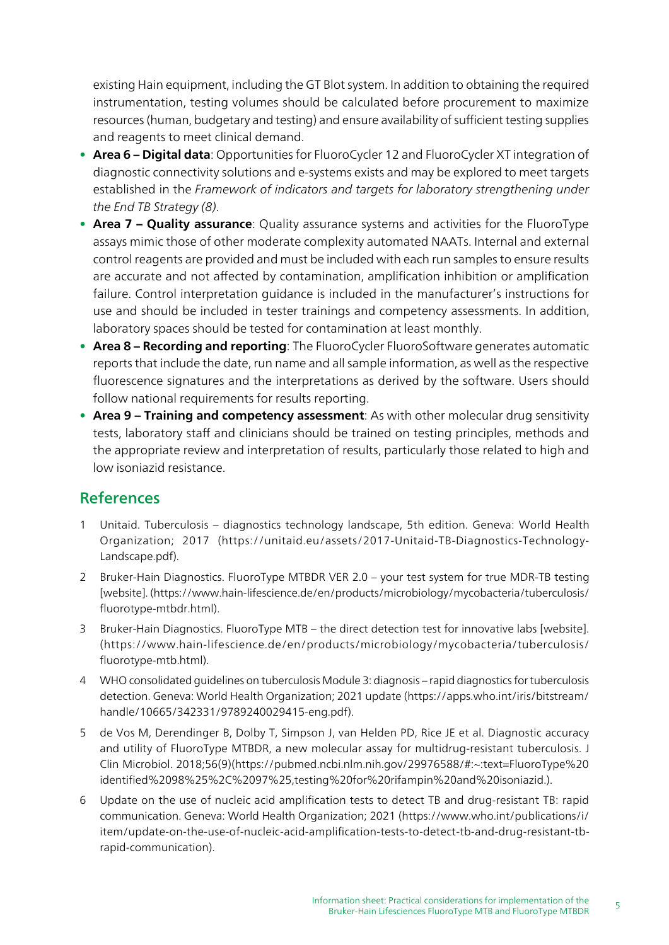existing Hain equipment, including the GT Blot system. In addition to obtaining the required instrumentation, testing volumes should be calculated before procurement to maximize resources (human, budgetary and testing) and ensure availability of sufficient testing supplies and reagents to meet clinical demand.

- Area 6 Digital data: Opportunities for FluoroCycler 12 and FluoroCycler XT integration of diagnostic connectivity solutions and e-systems exists and may be explored to meet targets established in the Framework of indicators and targets for laboratory strengthening under the End TB Strategy (8).
- Area 7 Quality assurance: Quality assurance systems and activities for the FluoroType assays mimic those of other moderate complexity automated NAATs. Internal and external control reagents are provided and must be included with each run samples to ensure results are accurate and not affected by contamination, amplification inhibition or amplification failure. Control interpretation guidance is included in the manufacturer's instructions for use and should be included in tester trainings and competency assessments. In addition, laboratory spaces should be tested for contamination at least monthly.
- Area 8 Recording and reporting: The FluoroCycler FluoroSoftware generates automatic reports that include the date, run name and all sample information, as well as the respective fluorescence signatures and the interpretations as derived by the software. Users should follow national requirements for results reporting.
- Area 9 Training and competency assessment: As with other molecular drug sensitivity tests, laboratory staff and clinicians should be trained on testing principles, methods and the appropriate review and interpretation of results, particularly those related to high and low isoniazid resistance.

## References

- 1 Unitaid. Tuberculosis diagnostics technology landscape, 5th edition. Geneva: World Health Organization; 2017 (https://unitaid.eu/assets/2017-Unitaid-TB-Diagnostics-Technology-Landscape.pdf).
- 2 Bruker-Hain Diagnostics. FluoroType MTBDR VER 2.0 your test system for true MDR-TB testing [website]. (https://www.hain-lifescience.de/en/products/microbiology/mycobacteria/tuberculosis/ fluorotype-mtbdr.html).
- 3 Bruker-Hain Diagnostics. FluoroType MTB the direct detection test for innovative labs [website]. (https://www.hain-lifescience.de/en/products/microbiology/mycobacteria/tuberculosis/ fluorotype-mtb.html).
- 4 WHO consolidated guidelines on tuberculosis Module 3: diagnosis rapid diagnostics for tuberculosis detection. Geneva: World Health Organization; 2021 update ([https://apps.who.int/iris/bitstream/](https://apps.who.int/iris/bitstream/handle/10665/342331/9789240029415-eng.pdf) [handle/10665/342331/9789240029415-eng.pdf](https://apps.who.int/iris/bitstream/handle/10665/342331/9789240029415-eng.pdf)).
- 5 de Vos M, Derendinger B, Dolby T, Simpson J, van Helden PD, Rice JE et al. Diagnostic accuracy and utility of FluoroType MTBDR, a new molecular assay for multidrug-resistant tuberculosis. J Clin Microbiol. 2018;56(9)(https://pubmed.ncbi.nlm.nih.gov/29976588/#:~:text=FluoroType%20 identified%2098%25%2C%2097%25,testing%20for%20rifampin%20and%20isoniazid.).
- 6 Update on the use of nucleic acid amplification tests to detect TB and drug-resistant TB: rapid communication. Geneva: World Health Organization; 2021 ([https://www.who.int/publications/i/](https://www.who.int/publications/i/item/update-on-the-use-of-nucleic-acid-amplification-tests-to-detect-tb-and-drug-resistant-tb-rapid-communication) [item/update-on-the-use-of-nucleic-acid-amplification-tests-to-detect-tb-and-drug-resistant-tb](https://www.who.int/publications/i/item/update-on-the-use-of-nucleic-acid-amplification-tests-to-detect-tb-and-drug-resistant-tb-rapid-communication)[rapid-communication](https://www.who.int/publications/i/item/update-on-the-use-of-nucleic-acid-amplification-tests-to-detect-tb-and-drug-resistant-tb-rapid-communication)).